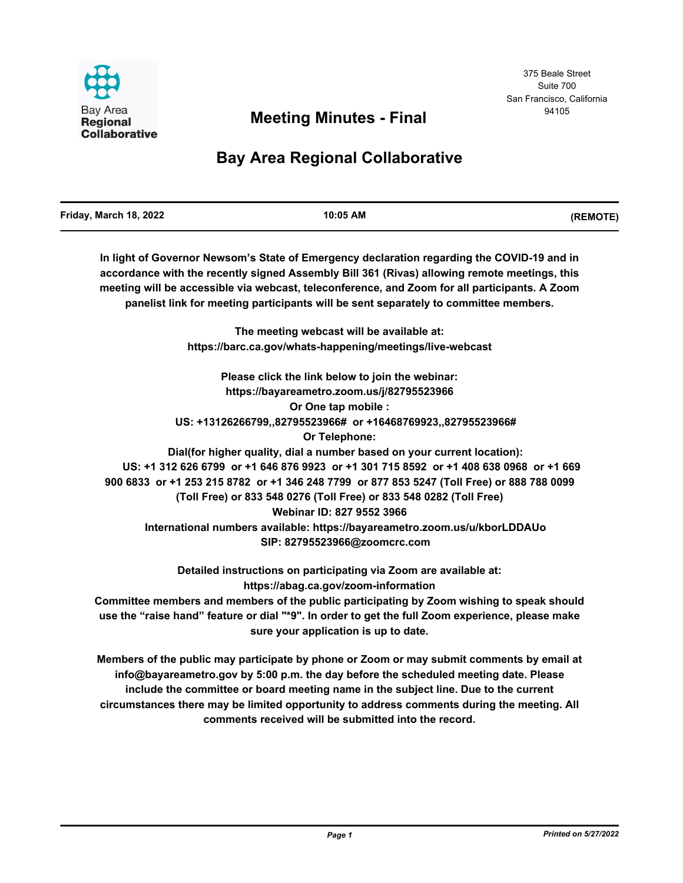

# <sup>94105</sup> **Meeting Minutes - Final**

# **Bay Area Regional Collaborative**

| Friday, March 18, 2022 | 10:05 AM | (REMOTE) |
|------------------------|----------|----------|
|                        |          |          |

**In light of Governor Newsom's State of Emergency declaration regarding the COVID-19 and in accordance with the recently signed Assembly Bill 361 (Rivas) allowing remote meetings, this meeting will be accessible via webcast, teleconference, and Zoom for all participants. A Zoom panelist link for meeting participants will be sent separately to committee members.**

> **The meeting webcast will be available at: https://barc.ca.gov/whats-happening/meetings/live-webcast**

**Please click the link below to join the webinar: https://bayareametro.zoom.us/j/82795523966 Or One tap mobile : US: +13126266799,,82795523966# or +16468769923,,82795523966# Or Telephone: Dial(for higher quality, dial a number based on your current location): US: +1 312 626 6799 or +1 646 876 9923 or +1 301 715 8592 or +1 408 638 0968 or +1 669 900 6833 or +1 253 215 8782 or +1 346 248 7799 or 877 853 5247 (Toll Free) or 888 788 0099 (Toll Free) or 833 548 0276 (Toll Free) or 833 548 0282 (Toll Free) Webinar ID: 827 9552 3966 International numbers available: https://bayareametro.zoom.us/u/kborLDDAUo SIP: 82795523966@zoomcrc.com**

**Detailed instructions on participating via Zoom are available at: https://abag.ca.gov/zoom-information Committee members and members of the public participating by Zoom wishing to speak should use the "raise hand" feature or dial "\*9". In order to get the full Zoom experience, please make sure your application is up to date.**

**Members of the public may participate by phone or Zoom or may submit comments by email at info@bayareametro.gov by 5:00 p.m. the day before the scheduled meeting date. Please include the committee or board meeting name in the subject line. Due to the current circumstances there may be limited opportunity to address comments during the meeting. All comments received will be submitted into the record.**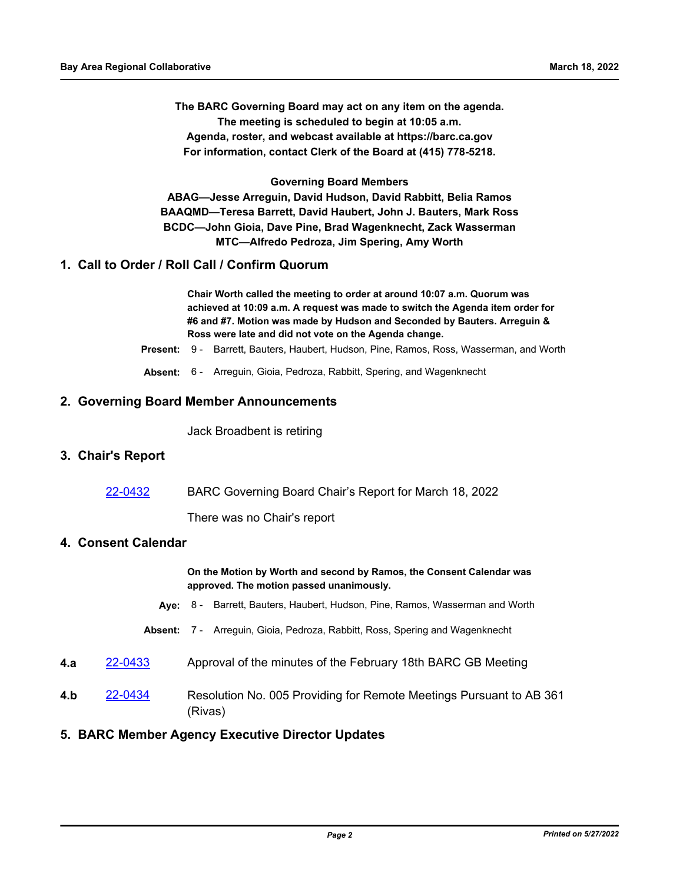**The BARC Governing Board may act on any item on the agenda. The meeting is scheduled to begin at 10:05 a.m. Agenda, roster, and webcast available at https://barc.ca.gov For information, contact Clerk of the Board at (415) 778-5218.**

**Governing Board Members ABAG—Jesse Arreguin, David Hudson, David Rabbitt, Belia Ramos BAAQMD—Teresa Barrett, David Haubert, John J. Bauters, Mark Ross BCDC—John Gioia, Dave Pine, Brad Wagenknecht, Zack Wasserman MTC—Alfredo Pedroza, Jim Spering, Amy Worth**

#### **1. Call to Order / Roll Call / Confirm Quorum**

**Chair Worth called the meeting to order at around 10:07 a.m. Quorum was achieved at 10:09 a.m. A request was made to switch the Agenda item order for #6 and #7. Motion was made by Hudson and Seconded by Bauters. Arreguin & Ross were late and did not vote on the Agenda change.**

**Present:** 9 - Barrett, Bauters, Haubert, Hudson, Pine, Ramos, Ross, Wasserman, and Worth

**Absent:** 6 - Arreguin, Gioia, Pedroza, Rabbitt, Spering, and Wagenknecht

#### **2. Governing Board Member Announcements**

Jack Broadbent is retiring

#### **3. Chair's Report**

[22-0432](http://mtc.legistar.com/gateway.aspx?m=l&id=/matter.aspx?key=23691) BARC Governing Board Chair's Report for March 18, 2022

There was no Chair's report

#### **4. Consent Calendar**

**On the Motion by Worth and second by Ramos, the Consent Calendar was approved. The motion passed unanimously.**

- **Aye:** 8 Barrett, Bauters, Haubert, Hudson, Pine, Ramos, Wasserman and Worth
- **Absent:** 7 Arreguin, Gioia, Pedroza, Rabbitt, Ross, Spering and Wagenknecht
- **4.a** [22-0433](http://mtc.legistar.com/gateway.aspx?m=l&id=/matter.aspx?key=23692) Approval of the minutes of the February 18th BARC GB Meeting
- **4.b** [22-0434](http://mtc.legistar.com/gateway.aspx?m=l&id=/matter.aspx?key=23693) Resolution No. 005 Providing for Remote Meetings Pursuant to AB 361 (Rivas)

#### **5. BARC Member Agency Executive Director Updates**